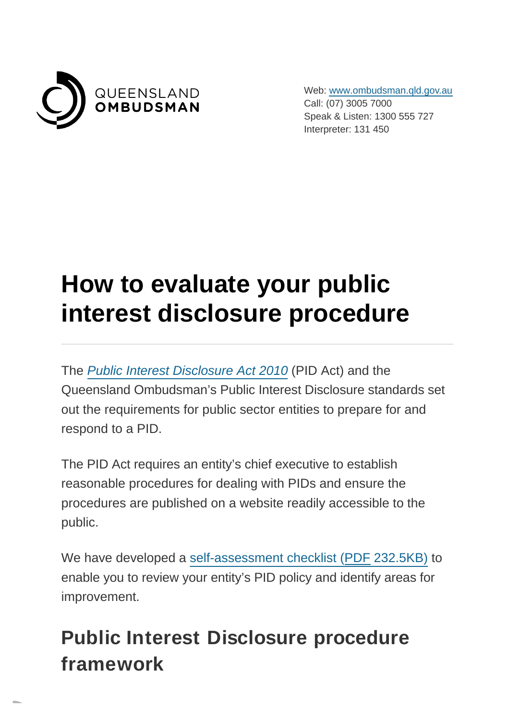

Web: [www.ombudsman.qld.gov.au](https://www.ombudsman.qld.gov.au/) Call: (07) 3005 7000 Speak & Listen: 1300 555 727 Interpreter: 131 450

## **How to evaluate your public interest disclosure procedure**

The [Public Interest Disclosure Act 2010](https://www.ombudsman.qld.gov.au/what-we-do/role-of-the-ombudsman/legislation-and-standard/legislation-and-standard) (PID Act) and the Queensland Ombudsman's Public Interest Disclosure standards set out the requirements for public sector entities to prepare for and respond to a PID.

The PID Act requires an entity's chief executive to establish reasonable procedures for dealing with PIDs and ensure the procedures are published on a website readily accessible to the public.

We have developed a [self-assessment checklist \(PDF](https://www.ombudsman.qld.gov.au/ArticleDocuments/434/PID%20Procedure%20Self%20assessment%20checklist.pdf.aspx) 232.5KB) to enable you to review your entity's PID policy and identify areas for improvement.

## **Public Interest Disclosure procedure framework**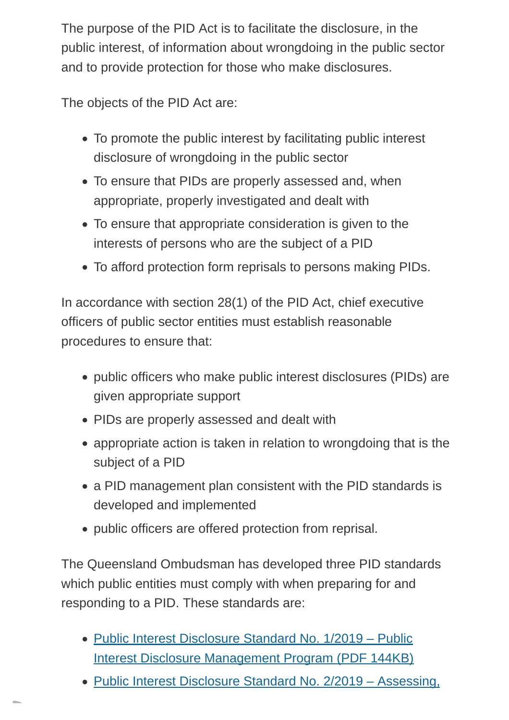The purpose of the PID Act is to facilitate the disclosure, in the public interest, of information about wrongdoing in the public sector and to provide protection for those who make disclosures.

The objects of the PID Act are:

- To promote the public interest by facilitating public interest disclosure of wrongdoing in the public sector
- To ensure that PIDs are properly assessed and, when appropriate, properly investigated and dealt with
- To ensure that appropriate consideration is given to the interests of persons who are the subject of a PID
- To afford protection form reprisals to persons making PIDs.

In accordance with section 28(1) of the PID Act, chief executive officers of public sector entities must establish reasonable procedures to ensure that:

- public officers who make public interest disclosures (PIDs) are given appropriate support
- PIDs are properly assessed and dealt with
- appropriate action is taken in relation to wrongdoing that is the subject of a PID
- a PID management plan consistent with the PID standards is developed and implemented
- public officers are offered protection from reprisal.

The Queensland Ombudsman has developed three PID standards which public entities must comply with when preparing for and responding to a PID. These standards are:

- [Public Interest Disclosure Standard No. 1/2019 Public](https://www.ombudsman.qld.gov.au/ArticleDocuments/212/PID%20Standard%201-2019%20Dec%202018.pdf.aspx) Interest Disclosure Management Program (PDF 144KB)
- [Public Interest Disclosure Standard No. 2/2019 Assessing,](https://www.ombudsman.qld.gov.au/ArticleDocuments/212/PID%20Standard%202-2019%20Dec%202018.pdf.aspx)